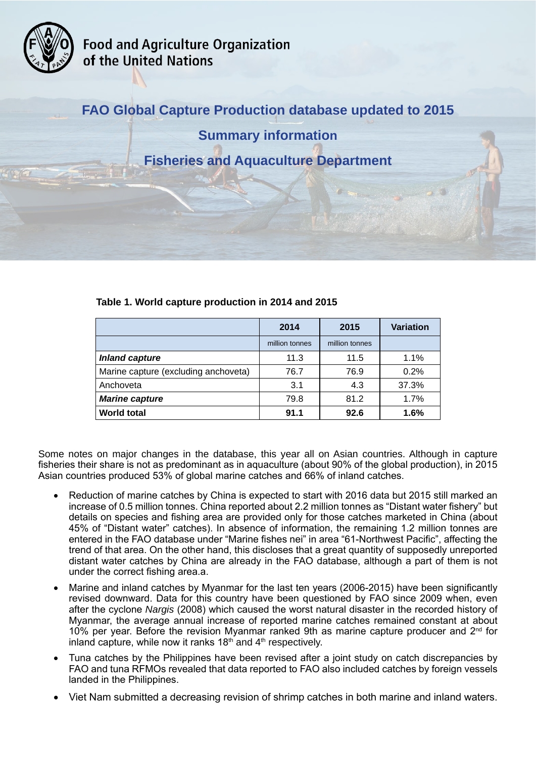

**Food and Agriculture Organization** of the United Nations

**FAO Global Capture Production database updated to 2015**

**Summary information**

**Fisheries and Aquaculture Department**

|                                      | 2014           | 2015           | <b>Variation</b> |
|--------------------------------------|----------------|----------------|------------------|
|                                      | million tonnes | million tonnes |                  |
| <b>Inland capture</b>                | 11.3           | 11.5           | 1.1%             |
| Marine capture (excluding anchoveta) | 76.7           | 76.9           | 0.2%             |
| Anchoveta                            | 3.1            | 4.3            | 37.3%            |
| <b>Marine capture</b>                | 79.8           | 81.2           | 1.7%             |
| <b>World total</b>                   | 91.1           | 92.6           | 1.6%             |

### **Table 1. World capture production in 2014 and 2015**

Some notes on major changes in the database, this year all on Asian countries. Although in capture fisheries their share is not as predominant as in aquaculture (about 90% of the global production), in 2015 Asian countries produced 53% of global marine catches and 66% of inland catches.

- Reduction of marine catches by China is expected to start with 2016 data but 2015 still marked an increase of 0.5 million tonnes. China reported about 2.2 million tonnes as "Distant water fishery" but details on species and fishing area are provided only for those catches marketed in China (about 45% of "Distant water" catches). In absence of information, the remaining 1.2 million tonnes are entered in the FAO database under "Marine fishes nei" in area "61-Northwest Pacific", affecting the trend of that area. On the other hand, this discloses that a great quantity of supposedly unreported distant water catches by China are already in the FAO database, although a part of them is not under the correct fishing area.a.
- Marine and inland catches by Myanmar for the last ten years (2006-2015) have been significantly revised downward. Data for this country have been questioned by FAO since 2009 when, even after the cyclone *Nargis* (2008) which caused the worst natural disaster in the recorded history of Myanmar, the average annual increase of reported marine catches remained constant at about 10% per year. Before the revision Myanmar ranked 9th as marine capture producer and  $2^{nd}$  for inland capture, while now it ranks  $18<sup>th</sup>$  and  $4<sup>th</sup>$  respectively.
- Tuna catches by the Philippines have been revised after a joint study on catch discrepancies by FAO and tuna RFMOs revealed that data reported to FAO also included catches by foreign vessels landed in the Philippines.
- Viet Nam submitted a decreasing revision of shrimp catches in both marine and inland waters.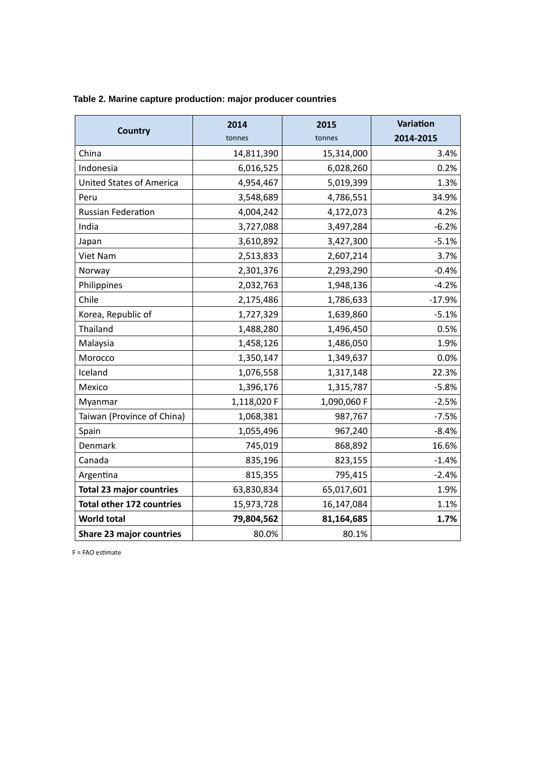| <b>Country</b>                   | 2014        | 2015        | Variation |
|----------------------------------|-------------|-------------|-----------|
|                                  | tonnes      | tonnes      | 2014-2015 |
| China                            | 14,811,390  | 15,314,000  | 3.4%      |
| Indonesia                        | 6,016,525   | 6,028,260   | 0.2%      |
| <b>United States of America</b>  | 4,954,467   | 5,019,399   | 1.3%      |
| Peru                             | 3,548,689   | 4,786,551   | 34.9%     |
| <b>Russian Federation</b>        | 4,004,242   | 4,172,073   | 4.2%      |
| India                            | 3,727,088   | 3,497,284   | $-6.2%$   |
| Japan                            | 3,610,892   | 3,427,300   | $-5.1%$   |
| Viet Nam                         | 2,513,833   | 2,607,214   | 3.7%      |
| Norway                           | 2,301,376   | 2,293,290   | $-0.4%$   |
| Philippines                      | 2,032,763   | 1,948,136   | $-4.2%$   |
| Chile                            | 2,175,486   | 1,786,633   | $-17.9%$  |
| Korea, Republic of               | 1,727,329   | 1,639,860   | $-5.1%$   |
| Thailand                         | 1,488,280   | 1,496,450   | 0.5%      |
| Malaysia                         | 1,458,126   | 1,486,050   | 1.9%      |
| Morocco                          | 1,350,147   | 1,349,637   | 0.0%      |
| Iceland                          | 1,076,558   | 1,317,148   | 22.3%     |
| Mexico                           | 1,396,176   | 1,315,787   | $-5.8%$   |
| Myanmar                          | 1,118,020 F | 1,090,060 F | $-2.5%$   |
| Taiwan (Province of China)       | 1,068,381   | 987,767     | $-7.5%$   |
| Spain                            | 1,055,496   | 967,240     | $-8.4%$   |
| Denmark                          | 745,019     | 868,892     | 16.6%     |
| Canada                           | 835,196     | 823,155     | $-1.4%$   |
| Argentina                        | 815,355     | 795,415     | $-2.4%$   |
| <b>Total 23 major countries</b>  | 63,830,834  | 65,017,601  | 1.9%      |
| <b>Total other 172 countries</b> | 15,973,728  | 16,147,084  | 1.1%      |
| <b>World total</b>               | 79,804,562  | 81,164,685  | 1.7%      |
| <b>Share 23 major countries</b>  | 80.0%       | 80.1%       |           |

# **Table 2. Marine capture production: major producer countries**

F = FAO estimate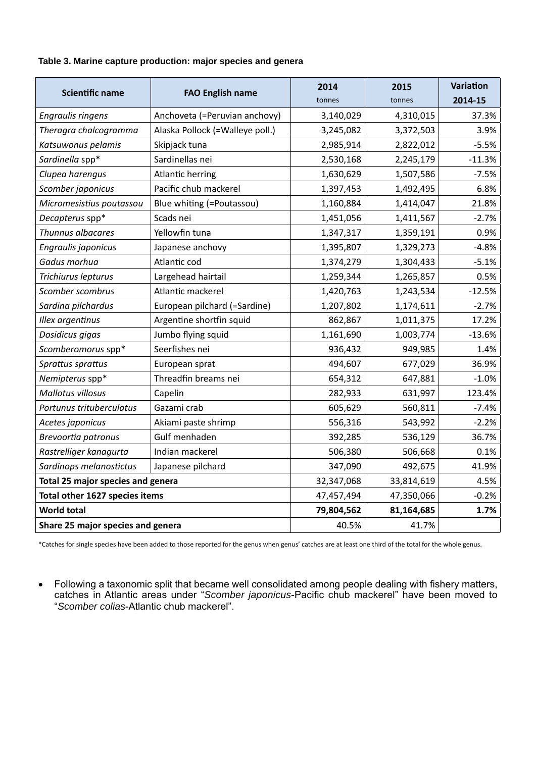#### **Table 3. Marine capture production: major species and genera**

| <b>Scientific name</b>            | <b>FAO English name</b>         | 2014<br>tonnes | 2015<br>tonnes | Variation<br>2014-15 |
|-----------------------------------|---------------------------------|----------------|----------------|----------------------|
| <b>Engraulis ringens</b>          | Anchoveta (=Peruvian anchovy)   | 3,140,029      | 4,310,015      | 37.3%                |
| Theragra chalcogramma             | Alaska Pollock (=Walleye poll.) | 3,245,082      | 3,372,503      | 3.9%                 |
| Katsuwonus pelamis                | Skipjack tuna                   | 2,985,914      | 2,822,012      | $-5.5%$              |
| Sardinella spp*                   | Sardinellas nei                 | 2,530,168      | 2,245,179      | $-11.3%$             |
| Clupea harengus                   | <b>Atlantic herring</b>         | 1,630,629      | 1,507,586      | $-7.5%$              |
| Scomber japonicus                 | Pacific chub mackerel           | 1,397,453      | 1,492,495      | 6.8%                 |
| Micromesistius poutassou          | Blue whiting (=Poutassou)       | 1,160,884      | 1,414,047      | 21.8%                |
| Decapterus spp*                   | Scads nei                       | 1,451,056      | 1,411,567      | $-2.7%$              |
| Thunnus albacares                 | Yellowfin tuna                  | 1,347,317      | 1,359,191      | 0.9%                 |
| Engraulis japonicus               | Japanese anchovy                | 1,395,807      | 1,329,273      | $-4.8%$              |
| Gadus morhua                      | Atlantic cod                    | 1,374,279      | 1,304,433      | $-5.1%$              |
| Trichiurus lepturus               | Largehead hairtail              | 1,259,344      | 1,265,857      | 0.5%                 |
| Scomber scombrus                  | Atlantic mackerel               | 1,420,763      | 1,243,534      | $-12.5%$             |
| Sardina pilchardus                | European pilchard (=Sardine)    | 1,207,802      | 1,174,611      | $-2.7%$              |
| Illex argentinus                  | Argentine shortfin squid        | 862,867        | 1,011,375      | 17.2%                |
| Dosidicus gigas                   | Jumbo flying squid              | 1,161,690      | 1,003,774      | $-13.6%$             |
| Scomberomorus spp*                | Seerfishes nei                  | 936,432        | 949,985        | 1.4%                 |
| Sprattus sprattus                 | European sprat                  | 494,607        | 677,029        | 36.9%                |
| Nemipterus spp*                   | Threadfin breams nei            | 654,312        | 647,881        | $-1.0%$              |
| Mallotus villosus                 | Capelin                         | 282,933        | 631,997        | 123.4%               |
| Portunus trituberculatus          | Gazami crab                     | 605,629        | 560,811        | $-7.4%$              |
| Acetes japonicus                  | Akiami paste shrimp             | 556,316        | 543,992        | $-2.2%$              |
| Brevoortia patronus               | Gulf menhaden                   | 392,285        | 536,129        | 36.7%                |
| Rastrelliger kanagurta            | Indian mackerel                 | 506,380        | 506,668        | 0.1%                 |
| Sardinops melanostictus           | Japanese pilchard               | 347,090        | 492,675        | 41.9%                |
| Total 25 major species and genera |                                 | 32,347,068     | 33,814,619     | 4.5%                 |
| Total other 1627 species items    |                                 | 47,457,494     | 47,350,066     | $-0.2%$              |
| <b>World total</b>                |                                 | 79,804,562     | 81,164,685     | 1.7%                 |
| Share 25 major species and genera |                                 | 40.5%          | 41.7%          |                      |

\*Catches for single species have been added to those reported for the genus when genus' catches are at least one third of the total for the whole genus.

• Following a taxonomic split that became well consolidated among people dealing with fishery matters, catches in Atlantic areas under "*Scomber japonicus*-Pacific chub mackerel" have been moved to "*Scomber colias*-Atlantic chub mackerel".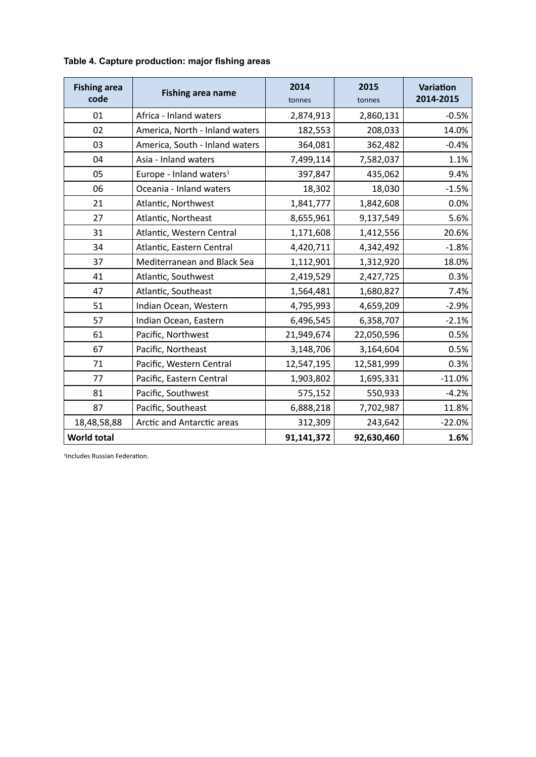| <b>Fishing area</b><br>code | <b>Fishing area name</b>            | 2014<br>tonnes | 2015<br>tonnes | Variation<br>2014-2015 |
|-----------------------------|-------------------------------------|----------------|----------------|------------------------|
| 01                          | Africa - Inland waters              | 2,874,913      | 2,860,131      | $-0.5%$                |
| 02                          | America, North - Inland waters      | 182,553        | 208,033        | 14.0%                  |
| 03                          | America, South - Inland waters      | 364,081        | 362,482        | $-0.4%$                |
| 04                          | Asia - Inland waters                | 7,499,114      | 7,582,037      | 1.1%                   |
| 05                          | Europe - Inland waters <sup>1</sup> | 397,847        | 435,062        | 9.4%                   |
| 06                          | Oceania - Inland waters             | 18,302         | 18,030         | $-1.5%$                |
| 21                          | Atlantic, Northwest                 | 1,841,777      | 1,842,608      | 0.0%                   |
| 27                          | Atlantic, Northeast                 | 8,655,961      | 9,137,549      | 5.6%                   |
| 31                          | Atlantic, Western Central           | 1,171,608      | 1,412,556      | 20.6%                  |
| 34                          | Atlantic, Eastern Central           | 4,420,711      | 4,342,492      | $-1.8%$                |
| 37                          | Mediterranean and Black Sea         | 1,112,901      | 1,312,920      | 18.0%                  |
| 41                          | Atlantic, Southwest                 | 2,419,529      | 2,427,725      | 0.3%                   |
| 47                          | Atlantic, Southeast                 | 1,564,481      | 1,680,827      | 7.4%                   |
| 51                          | Indian Ocean, Western               | 4,795,993      | 4,659,209      | $-2.9%$                |
| 57                          | Indian Ocean, Eastern               | 6,496,545      | 6,358,707      | $-2.1%$                |
| 61                          | Pacific, Northwest                  | 21,949,674     | 22,050,596     | 0.5%                   |
| 67                          | Pacific, Northeast                  | 3,148,706      | 3,164,604      | 0.5%                   |
| 71                          | Pacific, Western Central            | 12,547,195     | 12,581,999     | 0.3%                   |
| 77                          | Pacific, Eastern Central            | 1,903,802      | 1,695,331      | $-11.0%$               |
| 81                          | Pacific, Southwest                  | 575,152        | 550,933        | $-4.2%$                |
| 87                          | Pacific, Southeast                  | 6,888,218      | 7,702,987      | 11.8%                  |
| 18,48,58,88                 | Arctic and Antarctic areas          | 312,309        | 243,642        | $-22.0%$               |
| <b>World total</b>          |                                     | 91,141,372     | 92,630,460     | 1.6%                   |

## **Table 4. Capture production: major fishing areas**

1 Includes Russian Federation.